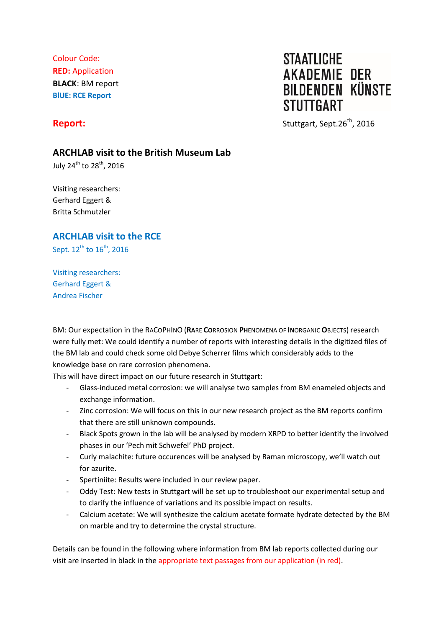Colour Code: **RED:** Application **BLACK**: BM report **BlUE: RCE Report**

# **STAATLICHE AKADEMIE DER BILDENDEN KÜNSTE STUTTGART**

**Report: Stuttgart, Sept.26<sup>th</sup>, 2016** 

## **ARCHLAB visit to the British Museum Lab**

July 24<sup>th</sup> to 28<sup>th</sup>, 2016

Visiting researchers: Gerhard Eggert & Britta Schmutzler

## **ARCHLAB visit to the RCE**

Sept.  $12^{th}$  to  $16^{th}$ , 2016

Visiting researchers: Gerhard Eggert & Andrea Fischer

BM: Our expectation in the RACOPHINO (**RA**RE **CO**RROSION **PH**ENOMENA OF **IN**ORGANIC **O**BJECTS) research were fully met: We could identify a number of reports with interesting details in the digitized files of the BM lab and could check some old Debye Scherrer films which considerably adds to the knowledge base on rare corrosion phenomena.

This will have direct impact on our future research in Stuttgart:

- Glass-induced metal corrosion: we will analyse two samples from BM enameled objects and exchange information.
- Zinc corrosion: We will focus on this in our new research project as the BM reports confirm that there are still unknown compounds.
- Black Spots grown in the lab will be analysed by modern XRPD to better identify the involved phases in our 'Pech mit Schwefel' PhD project.
- Curly malachite: future occurences will be analysed by Raman microscopy, we'll watch out for azurite.
- Spertiniite: Results were included in our review paper.
- Oddy Test: New tests in Stuttgart will be set up to troubleshoot our experimental setup and to clarify the influence of variations and its possible impact on results.
- Calcium acetate: We will synthesize the calcium acetate formate hydrate detected by the BM on marble and try to determine the crystal structure.

Details can be found in the following where information from BM lab reports collected during our visit are inserted in black in the appropriate text passages from our application (in red).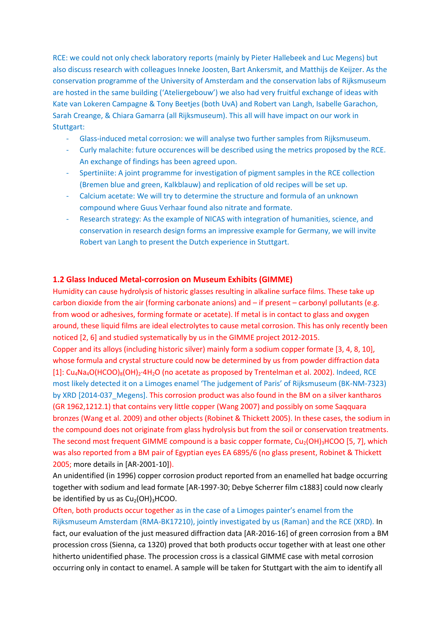RCE: we could not only check laboratory reports (mainly by Pieter Hallebeek and Luc Megens) but also discuss research with colleagues Inneke Joosten, Bart Ankersmit, and Matthijs de Keijzer. As the conservation programme of the University of Amsterdam and the conservation labs of Rijksmuseum are hosted in the same building ('Ateliergebouw') we also had very fruitful exchange of ideas with Kate van Lokeren Campagne & Tony Beetjes (both UvA) and Robert van Langh, Isabelle Garachon, Sarah Creange, & Chiara Gamarra (all Rijksmuseum). This all will have impact on our work in Stuttgart:

- Glass-induced metal corrosion: we will analyse two further samples from Rijksmuseum.
- Curly malachite: future occurences will be described using the metrics proposed by the RCE. An exchange of findings has been agreed upon.
- Spertiniite: A joint programme for investigation of pigment samples in the RCE collection (Bremen blue and green, Kalkblauw) and replication of old recipes will be set up.
- Calcium acetate: We will try to determine the structure and formula of an unknown compound where Guus Verhaar found also nitrate and formate.
- Research strategy: As the example of NICAS with integration of humanities, science, and conservation in research design forms an impressive example for Germany, we will invite Robert van Langh to present the Dutch experience in Stuttgart.

### **1.2 Glass Induced Metal-corrosion on Museum Exhibits (GIMME)**

Humidity can cause hydrolysis of historic glasses resulting in alkaline surface films. These take up carbon dioxide from the air (forming carbonate anions) and – if present – carbonyl pollutants (e.g. from wood or adhesives, forming formate or acetate). If metal is in contact to glass and oxygen around, these liquid films are ideal electrolytes to cause metal corrosion. This has only recently been noticed [2, 6] and studied systematically by us in the GIMME project 2012-2015.

Copper and its alloys (including historic silver) mainly form a sodium copper formate [3, 4, 8, 10], whose formula and crystal structure could now be determined by us from powder diffraction data [1]: Cu<sub>4</sub>Na<sub>4</sub>O(HCOO)<sub>8</sub>(OH)<sub>2</sub>⋅4H<sub>2</sub>O (no acetate as proposed by Trentelman et al. 2002). Indeed, RCE most likely detected it on a Limoges enamel 'The judgement of Paris' of Rijksmuseum (BK-NM-7323) by XRD [2014-037 Megens]. This corrosion product was also found in the BM on a silver kantharos (GR 1962,1212.1) that contains very little copper (Wang 2007) and possibly on some Saqquara bronzes (Wang et al. 2009) and other objects (Robinet & Thickett 2005). In these cases, the sodium in the compound does not originate from glass hydrolysis but from the soil or conservation treatments. The second most frequent GIMME compound is a basic copper formate,  $Cu<sub>2</sub>(OH)<sub>3</sub>HCOO$  [5, 7], which was also reported from a BM pair of Egyptian eyes EA 6895/6 (no glass present, Robinet & Thickett 2005; more details in [AR-2001-10]).

An unidentified (in 1996) copper corrosion product reported from an enamelled hat badge occurring together with sodium and lead formate [AR-1997-30; Debye Scherrer film c1883] could now clearly be identified by us as  $Cu<sub>2</sub>(OH)<sub>3</sub>HCOO$ .

Often, both products occur together as in the case of a Limoges painter's enamel from the Rijksmuseum Amsterdam (RMA-BK17210), jointly investigated by us (Raman) and the RCE (XRD). In fact, our evaluation of the just measured diffraction data [AR-2016-16] of green corrosion from a BM procession cross (Sienna, ca 1320) proved that both products occur together with at least one other hitherto unidentified phase. The procession cross is a classical GIMME case with metal corrosion occurring only in contact to enamel. A sample will be taken for Stuttgart with the aim to identify all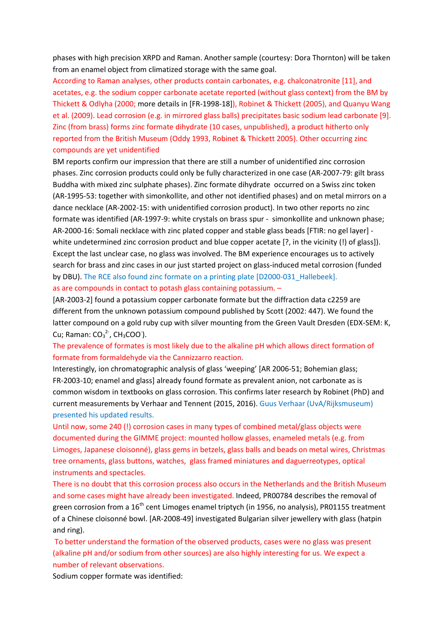phases with high precision XRPD and Raman. Another sample (courtesy: Dora Thornton) will be taken from an enamel object from climatized storage with the same goal.

According to Raman analyses, other products contain carbonates, e.g. chalconatronite [11], and acetates, e.g. the sodium copper carbonate acetate reported (without glass context) from the BM by Thickett & Odlyha (2000; more details in [FR-1998-18]), Robinet & Thickett (2005), and Quanyu Wang et al. (2009). Lead corrosion (e.g. in mirrored glass balls) precipitates basic sodium lead carbonate [9]. Zinc (from brass) forms zinc formate dihydrate (10 cases, unpublished), a product hitherto only reported from the British Museum (Oddy 1993, Robinet & Thickett 2005). Other occurring zinc compounds are yet unidentified

BM reports confirm our impression that there are still a number of unidentified zinc corrosion phases. Zinc corrosion products could only be fully characterized in one case (AR-2007-79: gilt brass Buddha with mixed zinc sulphate phases). Zinc formate dihydrate occurred on a Swiss zinc token (AR-1995-53: together with simonkollite, and other not identified phases) and on metal mirrors on a dance necklace (AR-2002-15: with unidentified corrosion product). In two other reports no zinc formate was identified (AR-1997-9: white crystals on brass spur - simonkollite and unknown phase; AR-2000-16: Somali necklace with zinc plated copper and stable glass beads [FTIR: no gel layer] white undetermined zinc corrosion product and blue copper acetate [?, in the vicinity (!) of glass]). Except the last unclear case, no glass was involved. The BM experience encourages us to actively search for brass and zinc cases in our just started project on glass-induced metal corrosion (funded by DBU). The RCE also found zinc formate on a printing plate [D2000-031\_Hallebeek]. as are compounds in contact to potash glass containing potassium. –

[AR-2003-2] found a potassium copper carbonate formate but the diffraction data c2259 are different from the unknown potassium compound published by Scott (2002: 447). We found the latter compound on a gold ruby cup with silver mounting from the Green Vault Dresden (EDX-SEM: K, Cu; Raman:  $CO_3^2$ , CH<sub>3</sub>COO ).

## The prevalence of formates is most likely due to the alkaline pH which allows direct formation of formate from formaldehyde via the Cannizzarro reaction.

Interestingly, ion chromatographic analysis of glass 'weeping' [AR 2006-51; Bohemian glass; FR-2003-10; enamel and glass] already found formate as prevalent anion, not carbonate as is common wisdom in textbooks on glass corrosion. This confirms later research by Robinet (PhD) and current measurements by Verhaar and Tennent (2015, 2016). Guus Verhaar (UvA/Rijksmuseum) presented his updated results.

Until now, some 240 (!) corrosion cases in many types of combined metal/glass objects were documented during the GIMME project: mounted hollow glasses, enameled metals (e.g. from Limoges, Japanese cloisonné), glass gems in betzels, glass balls and beads on metal wires, Christmas tree ornaments, glass buttons, watches, glass framed miniatures and daguerreotypes, optical instruments and spectacles.

There is no doubt that this corrosion process also occurs in the Netherlands and the British Museum and some cases might have already been investigated. Indeed, PR00784 describes the removal of green corrosion from a 16<sup>th</sup> cent Limoges enamel triptych (in 1956, no analysis), PR01155 treatment of a Chinese cloisonné bowl. [AR-2008-49] investigated Bulgarian silver jewellery with glass (hatpin and ring).

To better understand the formation of the observed products, cases were no glass was present (alkaline pH and/or sodium from other sources) are also highly interesting for us. We expect a number of relevant observations.

Sodium copper formate was identified: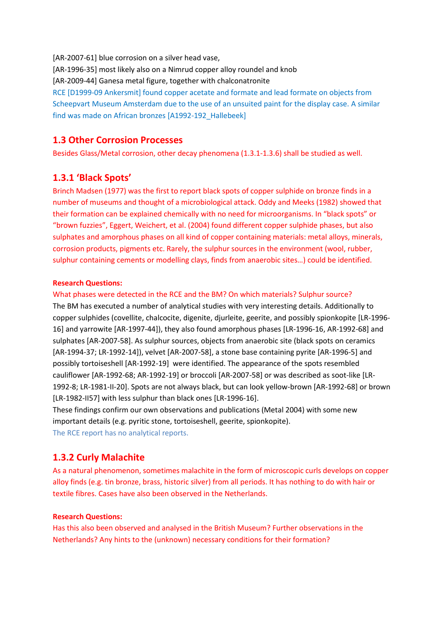[AR-2007-61] blue corrosion on a silver head vase, [AR-1996-35] most likely also on a Nimrud copper alloy roundel and knob [AR-2009-44] Ganesa metal figure, together with chalconatronite RCE [D1999-09 Ankersmit] found copper acetate and formate and lead formate on objects from Scheepvart Museum Amsterdam due to the use of an unsuited paint for the display case. A similar find was made on African bronzes [A1992-192\_Hallebeek]

## **1.3 Other Corrosion Processes**

Besides Glass/Metal corrosion, other decay phenomena (1.3.1-1.3.6) shall be studied as well.

## **1.3.1 'Black Spots'**

Brinch Madsen (1977) was the first to report black spots of copper sulphide on bronze finds in a number of museums and thought of a microbiological attack. Oddy and Meeks (1982) showed that their formation can be explained chemically with no need for microorganisms. In "black spots" or "brown fuzzies", Eggert, Weichert, et al. (2004) found different copper sulphide phases, but also sulphates and amorphous phases on all kind of copper containing materials: metal alloys, minerals, corrosion products, pigments etc. Rarely, the sulphur sources in the environment (wool, rubber, sulphur containing cements or modelling clays, finds from anaerobic sites…) could be identified.

#### **Research Questions:**

#### What phases were detected in the RCE and the BM? On which materials? Sulphur source?

The BM has executed a number of analytical studies with very interesting details. Additionally to copper sulphides (covellite, chalcocite, digenite, djurleite, geerite, and possibly spionkopite [LR-1996- 16] and yarrowite [AR-1997-44]), they also found amorphous phases [LR-1996-16, AR-1992-68] and sulphates [AR-2007-58]. As sulphur sources, objects from anaerobic site (black spots on ceramics [AR-1994-37; LR-1992-14]), velvet [AR-2007-58], a stone base containing pyrite [AR-1996-5] and possibly tortoiseshell [AR-1992-19] were identified. The appearance of the spots resembled cauliflower [AR-1992-68; AR-1992-19] or broccoli [AR-2007-58] or was described as soot-like [LR-1992-8; LR-1981-II-20]. Spots are not always black, but can look yellow-brown [AR-1992-68] or brown [LR-1982-II57] with less sulphur than black ones [LR-1996-16].

These findings confirm our own observations and publications (Metal 2004) with some new important details (e.g. pyritic stone, tortoiseshell, geerite, spionkopite). The RCE report has no analytical reports.

## **1.3.2 Curly Malachite**

As a natural phenomenon, sometimes malachite in the form of microscopic curls develops on copper alloy finds (e.g. tin bronze, brass, historic silver) from all periods. It has nothing to do with hair or textile fibres. Cases have also been observed in the Netherlands.

#### **Research Questions:**

Has this also been observed and analysed in the British Museum? Further observations in the Netherlands? Any hints to the (unknown) necessary conditions for their formation?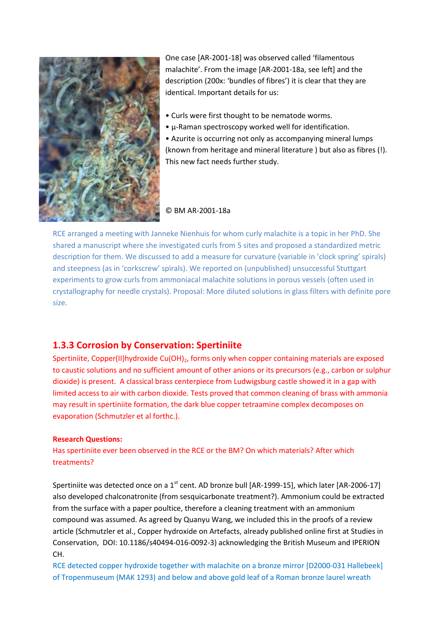

One case [AR-2001-18] was observed called 'filamentous malachite'. From the image [AR-2001-18a, see left] and the description (200x: 'bundles of fibres') it is clear that they are identical. Important details for us:

- Curls were first thought to be nematode worms.
- µ-Raman spectroscopy worked well for identification.

• Azurite is occurring not only as accompanying mineral lumps (known from heritage and mineral literature ) but also as fibres (!). This new fact needs further study.

#### © BM AR-2001-18a

RCE arranged a meeting with Janneke Nienhuis for whom curly malachite is a topic in her PhD. She shared a manuscript where she investigated curls from 5 sites and proposed a standardized metric description for them. We discussed to add a measure for curvature (variable in 'clock spring' spirals) and steepness (as in 'corkscrew' spirals). We reported on (unpublished) unsuccessful Stuttgart experiments to grow curls from ammoniacal malachite solutions in porous vessels (often used in crystallography for needle crystals). Proposal: More diluted solutions in glass filters with definite pore size.

## **1.3.3 Corrosion by Conservation: Spertiniite**

Spertiniite, Copper(II)hydroxide Cu(OH)<sub>2</sub>, forms only when copper containing materials are exposed to caustic solutions and no sufficient amount of other anions or its precursors (e.g., carbon or sulphur dioxide) is present. A classical brass centerpiece from Ludwigsburg castle showed it in a gap with limited access to air with carbon dioxide. Tests proved that common cleaning of brass with ammonia may result in spertiniite formation, the dark blue copper tetraamine complex decomposes on evaporation (Schmutzler et al forthc.).

#### **Research Questions:**

Has spertiniite ever been observed in the RCE or the BM? On which materials? After which treatments?

Spertiniite was detected once on a  $1^{st}$  cent. AD bronze bull [AR-1999-15], which later [AR-2006-17] also developed chalconatronite (from sesquicarbonate treatment?). Ammonium could be extracted from the surface with a paper poultice, therefore a cleaning treatment with an ammonium compound was assumed. As agreed by Quanyu Wang, we included this in the proofs of a review article (Schmutzler et al., Copper hydroxide on Artefacts, already published online first at Studies in Conservation, DOI: 10.1186/s40494-016-0092-3) acknowledging the British Museum and IPERION CH.

RCE detected copper hydroxide together with malachite on a bronze mirror [D2000-031 Hallebeek] of Tropenmuseum (MAK 1293) and below and above gold leaf of a Roman bronze laurel wreath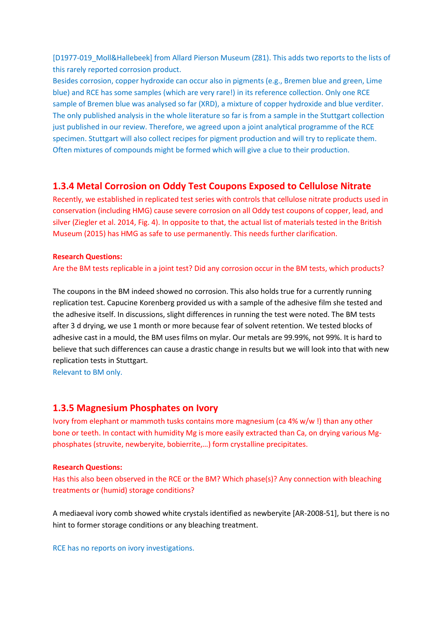[D1977-019\_Moll&Hallebeek] from Allard Pierson Museum (Z81). This adds two reports to the lists of this rarely reported corrosion product.

Besides corrosion, copper hydroxide can occur also in pigments (e.g., Bremen blue and green, Lime blue) and RCE has some samples (which are very rare!) in its reference collection. Only one RCE sample of Bremen blue was analysed so far (XRD), a mixture of copper hydroxide and blue verditer. The only published analysis in the whole literature so far is from a sample in the Stuttgart collection just published in our review. Therefore, we agreed upon a joint analytical programme of the RCE specimen. Stuttgart will also collect recipes for pigment production and will try to replicate them. Often mixtures of compounds might be formed which will give a clue to their production.

## **1.3.4 Metal Corrosion on Oddy Test Coupons Exposed to Cellulose Nitrate**

Recently, we established in replicated test series with controls that cellulose nitrate products used in conservation (including HMG) cause severe corrosion on all Oddy test coupons of copper, lead, and silver (Ziegler et al. 2014, Fig. 4). In opposite to that, the actual list of materials tested in the British Museum (2015) has HMG as safe to use permanently. This needs further clarification.

#### **Research Questions:**

Are the BM tests replicable in a joint test? Did any corrosion occur in the BM tests, which products?

The coupons in the BM indeed showed no corrosion. This also holds true for a currently running replication test. Capucine Korenberg provided us with a sample of the adhesive film she tested and the adhesive itself. In discussions, slight differences in running the test were noted. The BM tests after 3 d drying, we use 1 month or more because fear of solvent retention. We tested blocks of adhesive cast in a mould, the BM uses films on mylar. Our metals are 99.99%, not 99%. It is hard to believe that such differences can cause a drastic change in results but we will look into that with new replication tests in Stuttgart.

Relevant to BM only.

#### **1.3.5 Magnesium Phosphates on Ivory**

Ivory from elephant or mammoth tusks contains more magnesium (ca 4% w/w !) than any other bone or teeth. In contact with humidity Mg is more easily extracted than Ca, on drying various Mgphosphates (struvite, newberyite, bobierrite,…) form crystalline precipitates.

#### **Research Questions:**

Has this also been observed in the RCE or the BM? Which phase(s)? Any connection with bleaching treatments or (humid) storage conditions?

A mediaeval ivory comb showed white crystals identified as newberyite [AR-2008-51], but there is no hint to former storage conditions or any bleaching treatment.

RCE has no reports on ivory investigations.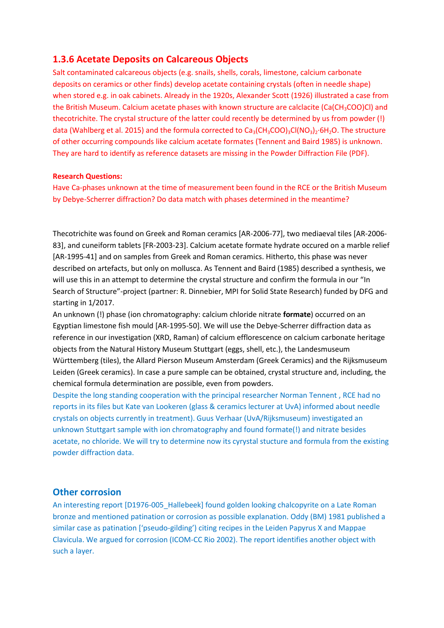## **1.3.6 Acetate Deposits on Calcareous Objects**

Salt contaminated calcareous objects (e.g. snails, shells, corals, limestone, calcium carbonate deposits on ceramics or other finds) develop acetate containing crystals (often in needle shape) when stored e.g. in oak cabinets. Already in the 1920s, Alexander Scott (1926) illustrated a case from the British Museum. Calcium acetate phases with known structure are calclacite (Ca(CH<sub>3</sub>COO)Cl) and thecotrichite. The crystal structure of the latter could recently be determined by us from powder (!) data (Wahlberg et al. 2015) and the formula corrected to Ca<sub>3</sub>(CH<sub>3</sub>COO)<sub>3</sub>Cl(NO<sub>3</sub>)<sub>2</sub>⋅6H<sub>2</sub>O. The structure of other occurring compounds like calcium acetate formates (Tennent and Baird 1985) is unknown. They are hard to identify as reference datasets are missing in the Powder Diffraction File (PDF).

#### **Research Questions:**

Have Ca-phases unknown at the time of measurement been found in the RCE or the British Museum by Debye-Scherrer diffraction? Do data match with phases determined in the meantime?

Thecotrichite was found on Greek and Roman ceramics [AR-2006-77], two mediaeval tiles [AR-2006- 83], and cuneiform tablets [FR-2003-23]. Calcium acetate formate hydrate occured on a marble relief [AR-1995-41] and on samples from Greek and Roman ceramics. Hitherto, this phase was never described on artefacts, but only on mollusca. As Tennent and Baird (1985) described a synthesis, we will use this in an attempt to determine the crystal structure and confirm the formula in our "In Search of Structure"-project (partner: R. Dinnebier, MPI for Solid State Research) funded by DFG and starting in 1/2017.

An unknown (!) phase (ion chromatography: calcium chloride nitrate **formate**) occurred on an Egyptian limestone fish mould [AR-1995-50]. We will use the Debye-Scherrer diffraction data as reference in our investigation (XRD, Raman) of calcium efflorescence on calcium carbonate heritage objects from the Natural History Museum Stuttgart (eggs, shell, etc.), the Landesmuseum Württemberg (tiles), the Allard Pierson Museum Amsterdam (Greek Ceramics) and the Rijksmuseum Leiden (Greek ceramics). In case a pure sample can be obtained, crystal structure and, including, the chemical formula determination are possible, even from powders.

Despite the long standing cooperation with the principal researcher Norman Tennent , RCE had no reports in its files but Kate van Lookeren (glass & ceramics lecturer at UvA) informed about needle crystals on objects currently in treatment). Guus Verhaar (UvA/Rijksmuseum) investigated an unknown Stuttgart sample with ion chromatography and found formate(!) and nitrate besides acetate, no chloride. We will try to determine now its cyrystal stucture and formula from the existing powder diffraction data.

## **Other corrosion**

An interesting report [D1976-005\_Hallebeek] found golden looking chalcopyrite on a Late Roman bronze and mentioned patination or corrosion as possible explanation. Oddy (BM) 1981 published a similar case as patination ['pseudo-gilding') citing recipes in the Leiden Papyrus X and Mappae Clavicula. We argued for corrosion (ICOM-CC Rio 2002). The report identifies another object with such a layer.